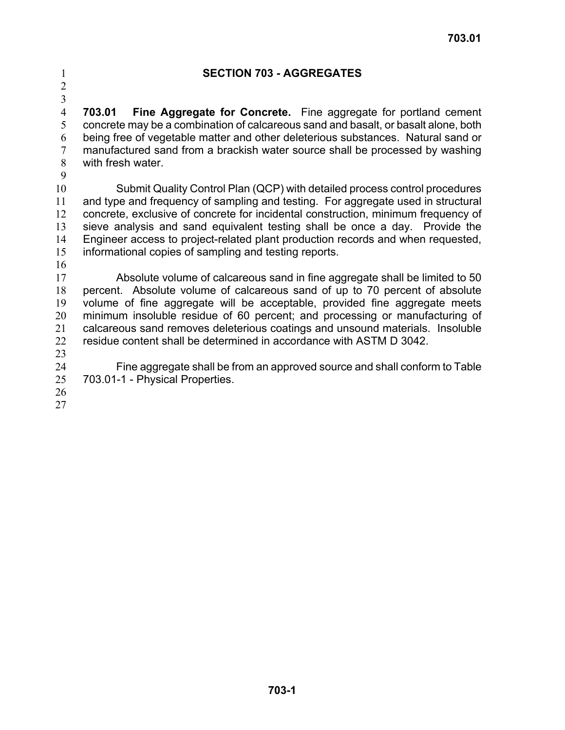## 1 **SECTION 703 - AGGREGATES**

2 3

4 5 6 7 8 **703.01 Fine Aggregate for Concrete.** Fine aggregate for portland cement concrete may be a combination of calcareous sand and basalt, or basalt alone, both being free of vegetable matter and other deleterious substances. Natural sand or manufactured sand from a brackish water source shall be processed by washing with fresh water.

9

10 11 12 13 14 15 Submit Quality Control Plan (QCP) with detailed process control procedures and type and frequency of sampling and testing. For aggregate used in structural concrete, exclusive of concrete for incidental construction, minimum frequency of sieve analysis and sand equivalent testing shall be once a day. Provide the Engineer access to project-related plant production records and when requested, informational copies of sampling and testing reports.

16

17 18 19 20 21 22 Absolute volume of calcareous sand in fine aggregate shall be limited to 50 percent. Absolute volume of calcareous sand of up to 70 percent of absolute volume of fine aggregate will be acceptable, provided fine aggregate meets minimum insoluble residue of 60 percent; and processing or manufacturing of calcareous sand removes deleterious coatings and unsound materials. Insoluble residue content shall be determined in accordance with ASTM D 3042.

23

24 25 Fine aggregate shall be from an approved source and shall conform to Table 703.01-1 - Physical Properties.

26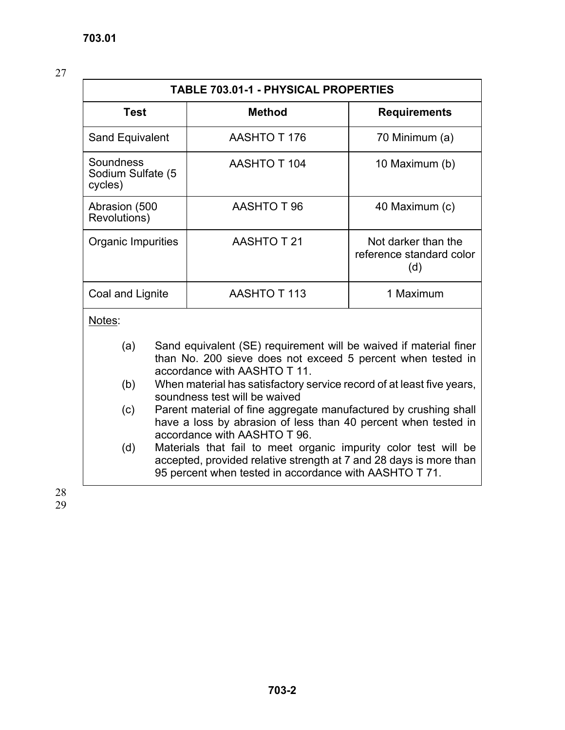| <b>TABLE 703.01-1 - PHYSICAL PROPERTIES</b>                                                                                                                                                            |                                 |                     |                                                        |
|--------------------------------------------------------------------------------------------------------------------------------------------------------------------------------------------------------|---------------------------------|---------------------|--------------------------------------------------------|
| <b>Method</b><br><b>Test</b>                                                                                                                                                                           |                                 | <b>Requirements</b> |                                                        |
| Sand Equivalent                                                                                                                                                                                        |                                 | AASHTO T 176        | 70 Minimum (a)                                         |
| Soundness<br>Sodium Sulfate (5<br>cycles)                                                                                                                                                              |                                 | <b>AASHTO T 104</b> | 10 Maximum (b)                                         |
| Abrasion (500<br>Revolutions)                                                                                                                                                                          |                                 | AASHTO T 96         | 40 Maximum (c)                                         |
| Organic Impurities                                                                                                                                                                                     |                                 | AASHTO T 21         | Not darker than the<br>reference standard color<br>(d) |
|                                                                                                                                                                                                        | AASHTO T113<br>Coal and Lignite |                     | 1 Maximum                                              |
| Notes:                                                                                                                                                                                                 |                                 |                     |                                                        |
| Sand equivalent (SE) requirement will be waived if material finer<br>(a)<br>than No. 200 sieve does not exceed 5 percent when tested in<br>accordance with AASHTO T 11.                                |                                 |                     |                                                        |
| When material has satisfactory service record of at least five years,<br>(b)<br>soundness test will be waived                                                                                          |                                 |                     |                                                        |
| Parent material of fine aggregate manufactured by crushing shall<br>(c)<br>have a loss by abrasion of less than 40 percent when tested in<br>accordance with AASHTO T 96.                              |                                 |                     |                                                        |
| Materials that fail to meet organic impurity color test will be<br>(d)<br>accepted, provided relative strength at 7 and 28 days is more than<br>95 percent when tested in accordance with AASHTO T 71. |                                 |                     |                                                        |
|                                                                                                                                                                                                        |                                 |                     |                                                        |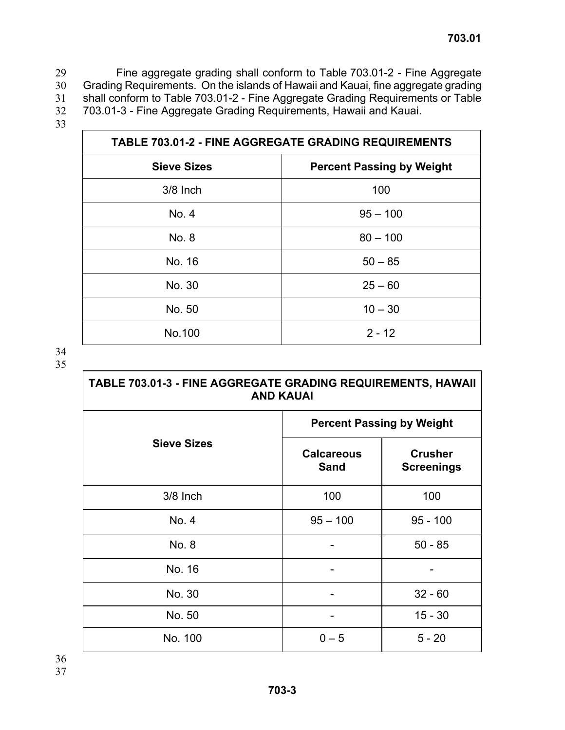Fine aggregate grading shall conform to Table 703.01-2 - Fine Aggregate Grading Requirements. On the islands of Hawaii and Kauai, fine aggregate grading shall conform to Table 703.01-2 - Fine Aggregate Grading Requirements or Table 703.01-3 - Fine Aggregate Grading Requirements, Hawaii and Kauai. 29 30 31 32

33

| <b>TABLE 703.01-2 - FINE AGGREGATE GRADING REQUIREMENTS</b> |            |  |
|-------------------------------------------------------------|------------|--|
| <b>Sieve Sizes</b><br><b>Percent Passing by Weight</b>      |            |  |
| $3/8$ Inch                                                  | 100        |  |
| No. 4                                                       | $95 - 100$ |  |
| No. 8                                                       | $80 - 100$ |  |
| No. 16                                                      | $50 - 85$  |  |
| No. 30                                                      | $25 - 60$  |  |
| No. 50                                                      | $10 - 30$  |  |
| No.100                                                      | $2 - 12$   |  |

| <b>TABLE 703.01-3 - FINE AGGREGATE GRADING REQUIREMENTS, HAWAII</b> |
|---------------------------------------------------------------------|
| <b>AND KAUAI</b>                                                    |

|                    | <b>Percent Passing by Weight</b> |                                     |  |
|--------------------|----------------------------------|-------------------------------------|--|
| <b>Sieve Sizes</b> | <b>Calcareous</b><br><b>Sand</b> | <b>Crusher</b><br><b>Screenings</b> |  |
| 3/8 Inch           | 100                              | 100                                 |  |
| No. 4              | $95 - 100$                       | $95 - 100$                          |  |
| No. 8              |                                  | $50 - 85$                           |  |
| No. 16             |                                  |                                     |  |
| No. 30             |                                  | $32 - 60$                           |  |
| No. 50             |                                  | $15 - 30$                           |  |
| No. 100            | $0 - 5$                          | $5 - 20$                            |  |
|                    |                                  |                                     |  |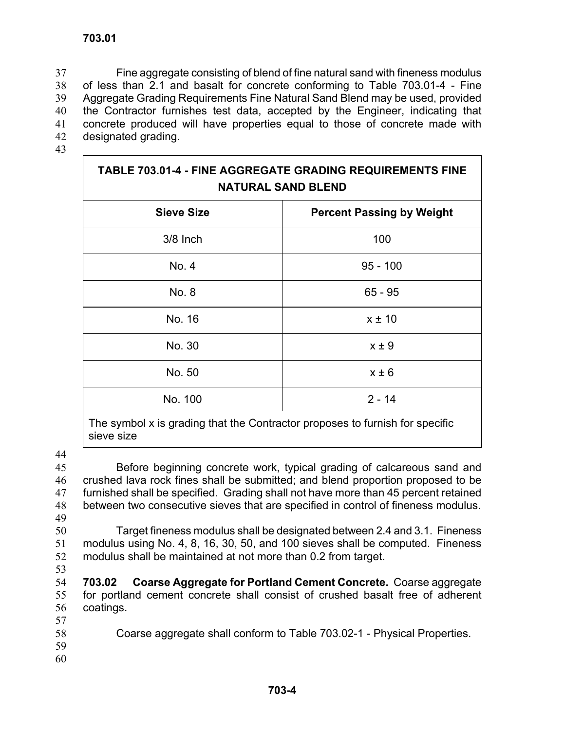Fine aggregate consisting of blend of fine natural sand with fineness modulus of less than 2.1 and basalt for concrete conforming to Table 703.01-4 - Fine Aggregate Grading Requirements Fine Natural Sand Blend may be used, provided the Contractor furnishes test data, accepted by the Engineer, indicating that concrete produced will have properties equal to those of concrete made with designated grading. 37 38 39 40 41 42

43

# **TABLE 703.01-4 - FINE AGGREGATE GRADING REQUIREMENTS FINE NATURAL SAND BLEND**

| <b>Sieve Size</b> | <b>Percent Passing by Weight</b> |
|-------------------|----------------------------------|
| 3/8 Inch          | 100                              |
| No. 4             | $95 - 100$                       |
| No. 8             | $65 - 95$                        |
| No. 16            | $x \pm 10$                       |
| No. 30            | $x \pm 9$                        |
| No. 50            | $x \pm 6$                        |
| No. 100           | $2 - 14$                         |
|                   |                                  |

The symbol x is grading that the Contractor proposes to furnish for specific sieve size

44

45 46 47 48 49 Before beginning concrete work, typical grading of calcareous sand and crushed lava rock fines shall be submitted; and blend proportion proposed to be furnished shall be specified. Grading shall not have more than 45 percent retained between two consecutive sieves that are specified in control of fineness modulus.

- 50 51 52 Target fineness modulus shall be designated between 2.4 and 3.1. Fineness modulus using No. 4, 8, 16, 30, 50, and 100 sieves shall be computed. Fineness modulus shall be maintained at not more than 0.2 from target.
- 53

54 55 56 **703.02 Coarse Aggregate for Portland Cement Concrete.** Coarse aggregate for portland cement concrete shall consist of crushed basalt free of adherent coatings.

- 57
- 58 Coarse aggregate shall conform to Table 703.02-1 - Physical Properties.
- 59
- 60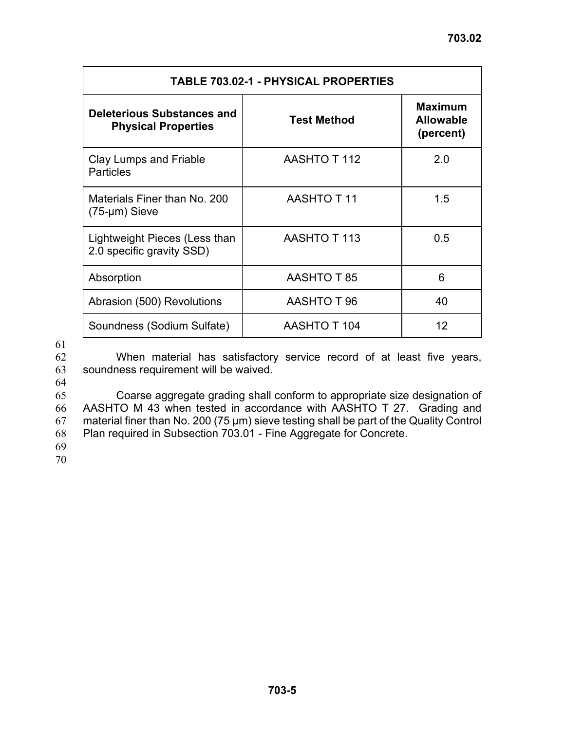| <b>TABLE 703.02-1 - PHYSICAL PROPERTIES</b>                     |                     |                                                 |  |
|-----------------------------------------------------------------|---------------------|-------------------------------------------------|--|
| <b>Deleterious Substances and</b><br><b>Physical Properties</b> | <b>Test Method</b>  | <b>Maximum</b><br><b>Allowable</b><br>(percent) |  |
| Clay Lumps and Friable<br><b>Particles</b>                      | <b>AASHTO T 112</b> | 2.0                                             |  |
| Materials Finer than No. 200<br>$(75 - \mu m)$ Sieve            | <b>AASHTO T11</b>   | 1.5                                             |  |
| Lightweight Pieces (Less than<br>2.0 specific gravity SSD)      | AASHTO T 113        | 0.5                                             |  |
| Absorption                                                      | <b>AASHTO T 85</b>  | 6                                               |  |
| Abrasion (500) Revolutions                                      | AASHTO T 96         | 40                                              |  |
| Soundness (Sodium Sulfate)                                      | <b>AASHTO T 104</b> | 12                                              |  |

62 63 When material has satisfactory service record of at least five years, soundness requirement will be waived.

64

65 66 67 68 Coarse aggregate grading shall conform to appropriate size designation of AASHTO M 43 when tested in accordance with AASHTO T 27. Grading and material finer than No. 200 (75 µm) sieve testing shall be part of the Quality Control Plan required in Subsection 703.01 - Fine Aggregate for Concrete.

69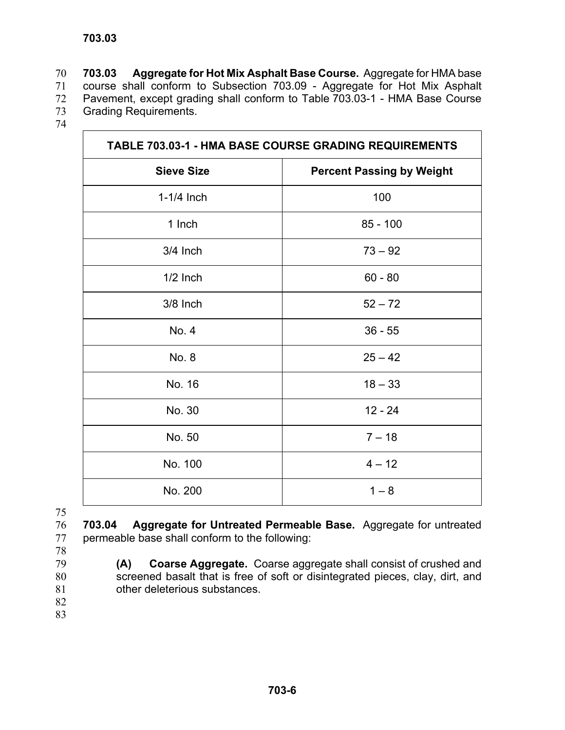**703.03 Aggregate for Hot Mix Asphalt Base Course.** Aggregate for HMA base course shall conform to Subsection 703.09 - Aggregate for Hot Mix Asphalt Pavement, except grading shall conform to Table 703.03-1 - HMA Base Course Grading Requirements. 70 71 72 73

74

| TABLE 703.03-1 - HMA BASE COURSE GRADING REQUIREMENTS |                                  |  |
|-------------------------------------------------------|----------------------------------|--|
| <b>Sieve Size</b>                                     | <b>Percent Passing by Weight</b> |  |
| $1-1/4$ Inch                                          | 100                              |  |
| 1 Inch                                                | $85 - 100$                       |  |
| 3/4 Inch                                              | $73 - 92$                        |  |
| $1/2$ Inch                                            | $60 - 80$                        |  |
| 3/8 Inch                                              | $52 - 72$                        |  |
| No. 4                                                 | $36 - 55$                        |  |
| No. 8                                                 | $25 - 42$                        |  |
| No. 16                                                | $18 - 33$                        |  |
| No. 30                                                | $12 - 24$                        |  |
| No. 50                                                | $7 - 18$                         |  |
| No. 100                                               | $4 - 12$                         |  |
| No. 200                                               | $1 - 8$                          |  |

75

76 77 **703.04 Aggregate for Untreated Permeable Base.** Aggregate for untreated permeable base shall conform to the following:

78 79

80

**(A) Coarse Aggregate.** Coarse aggregate shall consist of crushed and screened basalt that is free of soft or disintegrated pieces, clay, dirt, and other deleterious substances.

- 81 82
- 83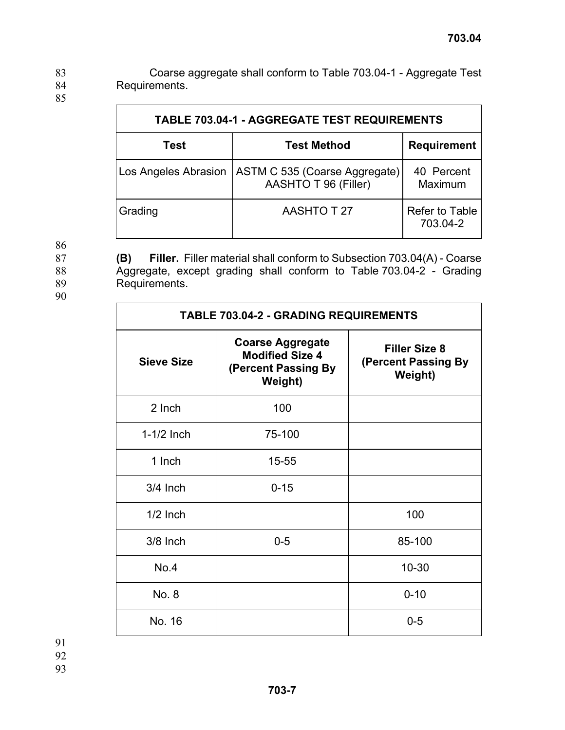Coarse aggregate shall conform to Table 703.04-1 - Aggregate Test Requirements. 83 84 85

| <b>TABLE 703.04-1 - AGGREGATE TEST REQUIREMENTS</b> |                                                       |                            |
|-----------------------------------------------------|-------------------------------------------------------|----------------------------|
| Test                                                | <b>Test Method</b>                                    | <b>Requirement</b>         |
| <b>Los Angeles Abrasion</b>                         | ASTM C 535 (Coarse Aggregate)<br>AASHTO T 96 (Filler) | 40 Percent<br>Maximum      |
| Grading                                             | <b>AASHTO T 27</b>                                    | Refer to Table<br>703.04-2 |

**(B) Filler.** Filler material shall conform to Subsection 703.04(A) - Coarse

86

87

88

89

90

|                                                                                            | Aggregate, except grading shall conform to Table 703.04-2 - Grading |  |  |
|--------------------------------------------------------------------------------------------|---------------------------------------------------------------------|--|--|
| <b>TABLE 703.04-2 - GRADING REQUIREMENTS</b>                                               |                                                                     |  |  |
| <b>Coarse Aggregate</b><br><b>Modified Size 4</b><br>(Percent Passing By<br><b>Weight)</b> | <b>Filler Size 8</b><br>(Percent Passing By<br>Weight)              |  |  |
| 100                                                                                        |                                                                     |  |  |
|                                                                                            |                                                                     |  |  |

| 2 Inch       | 100      |          |
|--------------|----------|----------|
| $1-1/2$ Inch | 75-100   |          |
| 1 Inch       | 15-55    |          |
| 3/4 Inch     | $0 - 15$ |          |
| $1/2$ Inch   |          | 100      |
| 3/8 Inch     | $0-5$    | 85-100   |
| No.4         |          | 10-30    |
| No. 8        |          | $0 - 10$ |
| No. 16       |          | $0-5$    |

91

92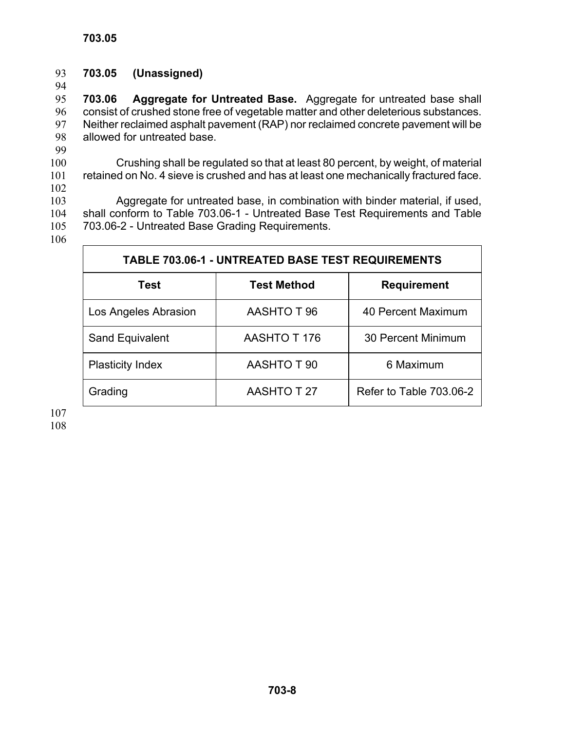### 93 **703.05 (Unassigned)** 94

95 96 97 98 **703.06 Aggregate for Untreated Base.** Aggregate for untreated base shall consist of crushed stone free of vegetable matter and other deleterious substances. Neither reclaimed asphalt pavement (RAP) nor reclaimed concrete pavement will be allowed for untreated base.

99

100 101 Crushing shall be regulated so that at least 80 percent, by weight, of material retained on No. 4 sieve is crushed and has at least one mechanically fractured face.

102

103 104 105 Aggregate for untreated base, in combination with binder material, if used, shall conform to Table 703.06-1 - Untreated Base Test Requirements and Table 703.06-2 - Untreated Base Grading Requirements.

106

| <b>TABLE 703.06-1 - UNTREATED BASE TEST REQUIREMENTS</b> |                    |                         |  |
|----------------------------------------------------------|--------------------|-------------------------|--|
| <b>Test</b>                                              | <b>Test Method</b> | <b>Requirement</b>      |  |
| Los Angeles Abrasion                                     | <b>AASHTO T 96</b> | 40 Percent Maximum      |  |
| Sand Equivalent                                          | AASHTO T 176       | 30 Percent Minimum      |  |
| <b>Plasticity Index</b>                                  | AASHTO T 90        | 6 Maximum               |  |
| Grading                                                  | <b>AASHTO T 27</b> | Refer to Table 703.06-2 |  |

107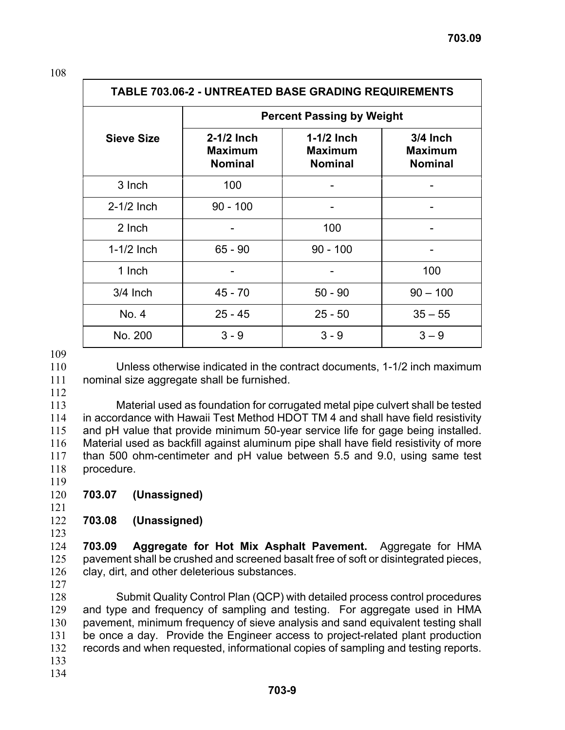| <b>TABLE 703.06-2 - UNTREATED BASE GRADING REQUIREMENTS</b> |                                           |                                                  |                                                |
|-------------------------------------------------------------|-------------------------------------------|--------------------------------------------------|------------------------------------------------|
| <b>Percent Passing by Weight</b>                            |                                           |                                                  |                                                |
| <b>Sieve Size</b>                                           | $2-1/2$ Inch<br>Maximum<br><b>Nominal</b> | $1-1/2$ Inch<br><b>Maximum</b><br><b>Nominal</b> | $3/4$ Inch<br><b>Maximum</b><br><b>Nominal</b> |
| 3 Inch                                                      | 100                                       |                                                  |                                                |
| $2-1/2$ Inch                                                | $90 - 100$                                |                                                  |                                                |
| 2 Inch                                                      |                                           | 100                                              |                                                |
| $1-1/2$ Inch                                                | $65 - 90$                                 | $90 - 100$                                       |                                                |
| 1 Inch                                                      |                                           |                                                  | 100                                            |
| $3/4$ Inch                                                  | $45 - 70$                                 | $50 - 90$                                        | $90 - 100$                                     |
| No. 4                                                       | $25 - 45$                                 | $25 - 50$                                        | $35 - 55$                                      |
| No. 200                                                     | $3 - 9$                                   | $3 - 9$                                          | $3 - 9$                                        |

109

110 111 Unless otherwise indicated in the contract documents, 1-1/2 inch maximum nominal size aggregate shall be furnished.

112

113 114 115 116 117 118 119 Material used as foundation for corrugated metal pipe culvert shall be tested in accordance with Hawaii Test Method HDOT TM 4 and shall have field resistivity and pH value that provide minimum 50-year service life for gage being installed. Material used as backfill against aluminum pipe shall have field resistivity of more than 500 ohm-centimeter and pH value between 5.5 and 9.0, using same test procedure.

- 120 **703.07 (Unassigned)**
- 121

### 122 **703.08 (Unassigned)**

123

124 125 126 **703.09 Aggregate for Hot Mix Asphalt Pavement.** Aggregate for HMA pavement shall be crushed and screened basalt free of soft or disintegrated pieces, clay, dirt, and other deleterious substances.

127

128 129 130 131 132 133 Submit Quality Control Plan (QCP) with detailed process control procedures and type and frequency of sampling and testing. For aggregate used in HMA pavement, minimum frequency of sieve analysis and sand equivalent testing shall be once a day. Provide the Engineer access to project-related plant production records and when requested, informational copies of sampling and testing reports.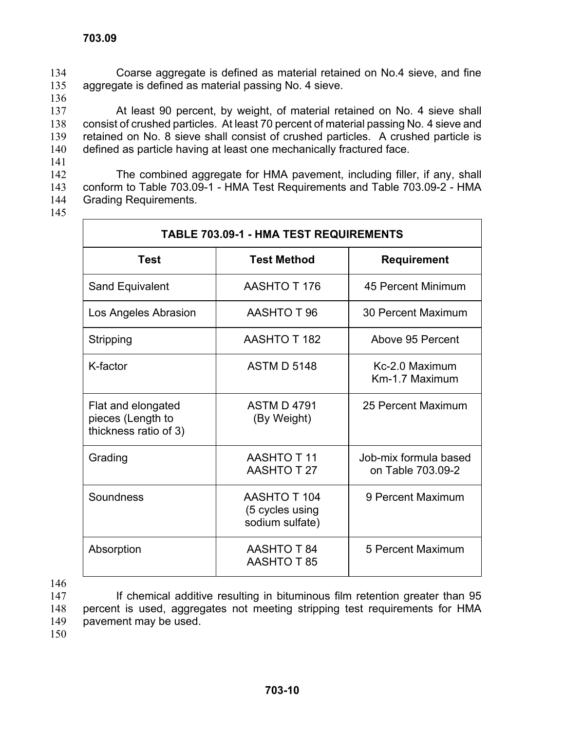Coarse aggregate is defined as material retained on No.4 sieve, and fine aggregate is defined as material passing No. 4 sieve. 134 135 136

137 138 139 140 At least 90 percent, by weight, of material retained on No. 4 sieve shall consist of crushed particles. At least 70 percent of material passing No. 4 sieve and retained on No. 8 sieve shall consist of crushed particles. A crushed particle is defined as particle having at least one mechanically fractured face.

142 143 144 The combined aggregate for HMA pavement, including filler, if any, shall conform to Table 703.09-1 - HMA Test Requirements and Table 703.09-2 - HMA Grading Requirements.

145

141

| <b>TABLE 703.09-1 - HMA TEST REQUIREMENTS</b>                    |                                                           |                                            |
|------------------------------------------------------------------|-----------------------------------------------------------|--------------------------------------------|
| <b>Test</b>                                                      | <b>Test Method</b>                                        | <b>Requirement</b>                         |
| Sand Equivalent                                                  | AASHTO T 176                                              | 45 Percent Minimum                         |
| Los Angeles Abrasion                                             | AASHTO T 96                                               | 30 Percent Maximum                         |
| Stripping                                                        | <b>AASHTO T 182</b>                                       | Above 95 Percent                           |
| K-factor                                                         | <b>ASTM D 5148</b>                                        | Kc-2.0 Maximum<br>Km-1.7 Maximum           |
| Flat and elongated<br>pieces (Length to<br>thickness ratio of 3) | <b>ASTM D 4791</b><br>(By Weight)                         | 25 Percent Maximum                         |
| Grading                                                          | <b>AASHTO T11</b><br><b>AASHTO T 27</b>                   | Job-mix formula based<br>on Table 703.09-2 |
| Soundness                                                        | <b>AASHTO T 104</b><br>(5 cycles using<br>sodium sulfate) | 9 Percent Maximum                          |
| Absorption                                                       | <b>AASHTO T 84</b><br><b>AASHTO T 85</b>                  | 5 Percent Maximum                          |

146

147 148 149 If chemical additive resulting in bituminous film retention greater than 95 percent is used, aggregates not meeting stripping test requirements for HMA pavement may be used.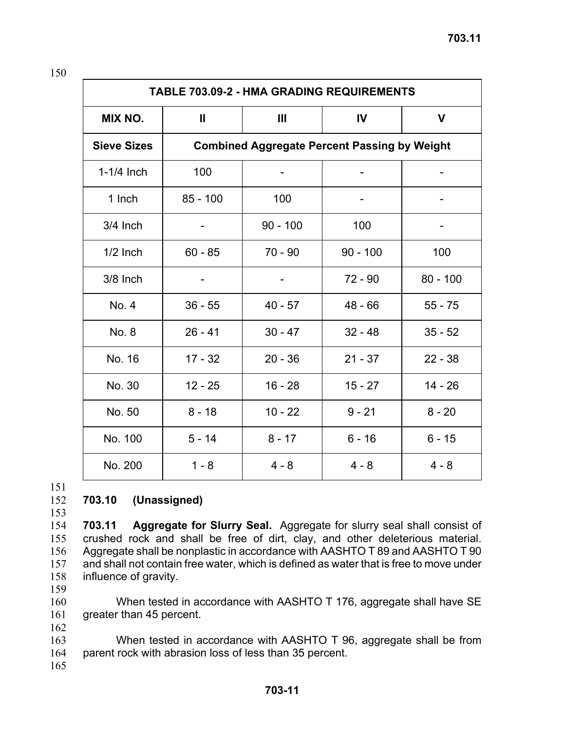| <b>TABLE 703.09-2 - HMA GRADING REQUIREMENTS</b> |              |            |                                                     |            |
|--------------------------------------------------|--------------|------------|-----------------------------------------------------|------------|
| MIX NO.                                          | $\mathbf{I}$ | Ш          | IV                                                  | V          |
| <b>Sieve Sizes</b>                               |              |            | <b>Combined Aggregate Percent Passing by Weight</b> |            |
| $1-1/4$ Inch                                     | 100          |            |                                                     |            |
| 1 Inch                                           | $85 - 100$   | 100        |                                                     |            |
| 3/4 Inch                                         |              | $90 - 100$ | 100                                                 |            |
| $1/2$ Inch                                       | $60 - 85$    | $70 - 90$  | $90 - 100$                                          | 100        |
| 3/8 Inch                                         |              |            | $72 - 90$                                           | $80 - 100$ |
| No. 4                                            | $36 - 55$    | $40 - 57$  | $48 - 66$                                           | $55 - 75$  |
| No. 8                                            | $26 - 41$    | $30 - 47$  | $32 - 48$                                           | $35 - 52$  |
| No. 16                                           | $17 - 32$    | $20 - 36$  | $21 - 37$                                           | $22 - 38$  |
| No. 30                                           | $12 - 25$    | $16 - 28$  | $15 - 27$                                           | $14 - 26$  |
| No. 50                                           | $8 - 18$     | $10 - 22$  | $9 - 21$                                            | $8 - 20$   |
| No. 100                                          | $5 - 14$     | $8 - 17$   | $6 - 16$                                            | $6 - 15$   |
| No. 200                                          | $1 - 8$      | $4 - 8$    | $4 - 8$                                             | $4 - 8$    |

#### 152 **703.10 (Unassigned)**

153

154 155 156 157 158 **703.11 Aggregate for Slurry Seal.** Aggregate for slurry seal shall consist of crushed rock and shall be free of dirt, clay, and other deleterious material. Aggregate shall be nonplastic in accordance with AASHTO T 89 and AASHTO T 90 and shall not contain free water, which is defined as water that is free to move under influence of gravity.

159

160 161 When tested in accordance with AASHTO T 176, aggregate shall have SE greater than 45 percent.

162

163 164 When tested in accordance with AASHTO T 96, aggregate shall be from parent rock with abrasion loss of less than 35 percent.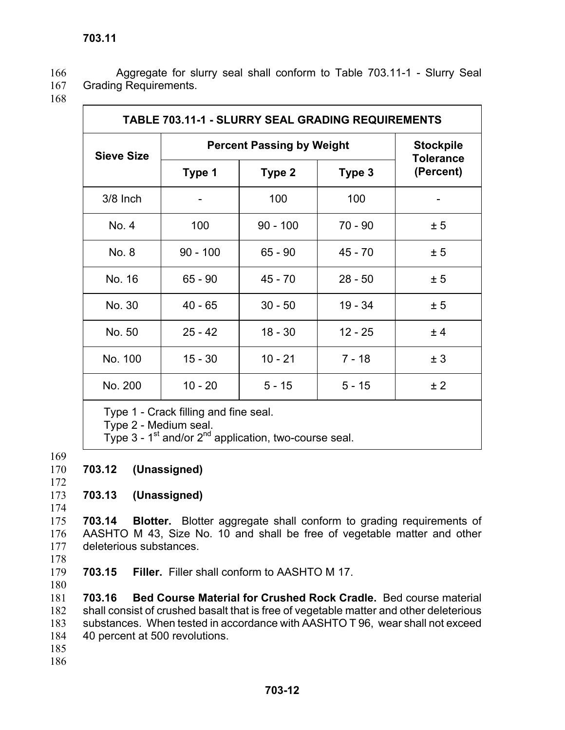Aggregate for slurry seal shall conform to Table 703.11-1 - Slurry Seal Grading Requirements. 166 167

168

| <b>TABLE 703.11-1 - SLURRY SEAL GRADING REQUIREMENTS</b>       |                                  |            |           |                                      |
|----------------------------------------------------------------|----------------------------------|------------|-----------|--------------------------------------|
| <b>Sieve Size</b>                                              | <b>Percent Passing by Weight</b> |            |           | <b>Stockpile</b><br><b>Tolerance</b> |
|                                                                | Type 1                           | Type 2     | Type 3    | (Percent)                            |
| 3/8 Inch                                                       |                                  | 100        | 100       |                                      |
| No. 4                                                          | 100                              | $90 - 100$ | $70 - 90$ | ± 5                                  |
| No. 8                                                          | $90 - 100$                       | $65 - 90$  | $45 - 70$ | ± 5                                  |
| No. 16                                                         | $65 - 90$                        | $45 - 70$  | $28 - 50$ | ± 5                                  |
| No. 30                                                         | $40 - 65$                        | $30 - 50$  | $19 - 34$ | ± 5                                  |
| No. 50                                                         | $25 - 42$                        | $18 - 30$  | $12 - 25$ | ±4                                   |
| No. 100                                                        | $15 - 30$                        | $10 - 21$  | $7 - 18$  | ± 3                                  |
| No. 200                                                        | $10 - 20$                        | $5 - 15$   | $5 - 15$  | ± 2                                  |
| Type 1 - Crack filling and fine seal.<br>Type 2 - Medium seal. |                                  |            |           |                                      |

Type  $3$  - 1<sup>st</sup> and/or  $2^{nd}$  application, two-course seal.

- 169
- 170 172 **703.12 (Unassigned)**
- 173 **703.13 (Unassigned)**
- 174
- 

175 176 177 178 **703.14 Blotter.** Blotter aggregate shall conform to grading requirements of AASHTO M 43, Size No. 10 and shall be free of vegetable matter and other deleterious substances.

- 179 **703.15 Filler.** Filler shall conform to AASHTO M 17.
- 180

181 182 183 184 **703.16 Bed Course Material for Crushed Rock Cradle.** Bed course material shall consist of crushed basalt that is free of vegetable matter and other deleterious substances. When tested in accordance with AASHTO T 96, wear shall not exceed 40 percent at 500 revolutions.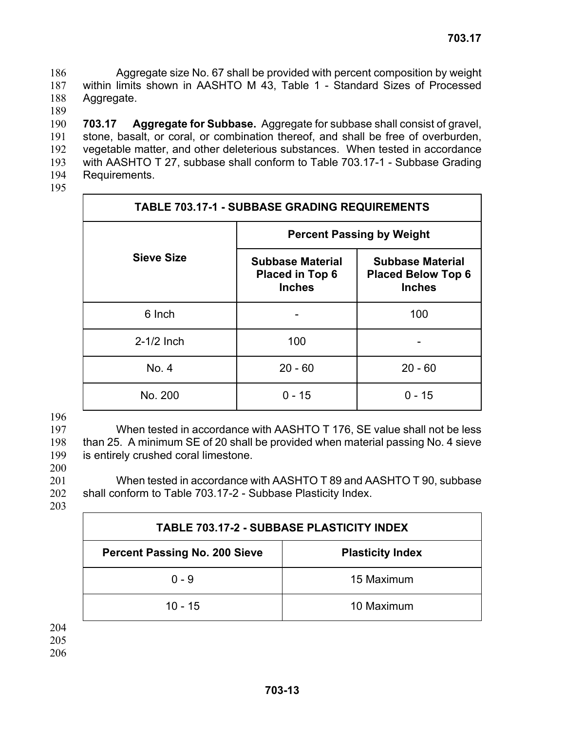Aggregate size No. 67 shall be provided with percent composition by weight within limits shown in AASHTO M 43, Table 1 - Standard Sizes of Processed Aggregate. 186 187 188

189

190 191 192 193 194 **703.17 Aggregate for Subbase.** Aggregate for subbase shall consist of gravel, stone, basalt, or coral, or combination thereof, and shall be free of overburden, vegetable matter, and other deleterious substances. When tested in accordance with AASHTO T 27, subbase shall conform to Table 703.17-1 - Subbase Grading Requirements.

195

| <b>TABLE 703.17-1 - SUBBASE GRADING REQUIREMENTS</b> |                                                                    |                                                                       |  |
|------------------------------------------------------|--------------------------------------------------------------------|-----------------------------------------------------------------------|--|
|                                                      | <b>Percent Passing by Weight</b>                                   |                                                                       |  |
| <b>Sieve Size</b>                                    | <b>Subbase Material</b><br><b>Placed in Top 6</b><br><b>Inches</b> | <b>Subbase Material</b><br><b>Placed Below Top 6</b><br><b>Inches</b> |  |
| 6 Inch                                               |                                                                    | 100                                                                   |  |
| $2-1/2$ Inch                                         | 100                                                                |                                                                       |  |
| No. 4                                                | $20 - 60$                                                          | $20 - 60$                                                             |  |
| No. 200                                              | $0 - 15$                                                           | $0 - 15$                                                              |  |

### 196

197 198 199 200 When tested in accordance with AASHTO T 176, SE value shall not be less than 25. A minimum SE of 20 shall be provided when material passing No. 4 sieve is entirely crushed coral limestone.

201 202 When tested in accordance with AASHTO T 89 and AASHTO T 90, subbase shall conform to Table 703.17-2 - Subbase Plasticity Index.

203

| <b>TABLE 703.17-2 - SUBBASE PLASTICITY INDEX</b>                |            |  |
|-----------------------------------------------------------------|------------|--|
| <b>Percent Passing No. 200 Sieve</b><br><b>Plasticity Index</b> |            |  |
| $0 - 9$                                                         | 15 Maximum |  |
| $10 - 15$                                                       | 10 Maximum |  |

204

205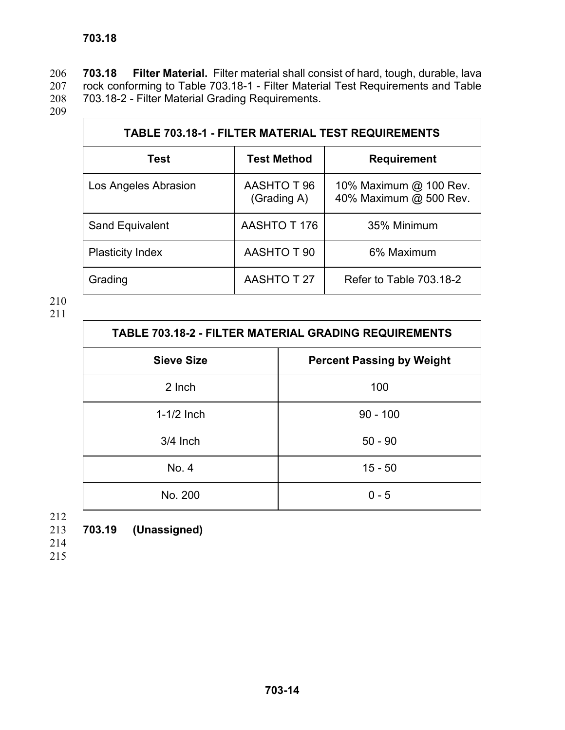**703.18 Filter Material.** Filter material shall consist of hard, tough, durable, lava rock conforming to Table 703.18-1 - Filter Material Test Requirements and Table 703.18-2 - Filter Material Grading Requirements. 206 207 208

209

| <b>TABLE 703.18-1 - FILTER MATERIAL TEST REQUIREMENTS</b> |                            |                                                  |  |
|-----------------------------------------------------------|----------------------------|--------------------------------------------------|--|
| <b>Test</b>                                               | <b>Test Method</b>         | <b>Requirement</b>                               |  |
| Los Angeles Abrasion                                      | AASHTO T 96<br>(Grading A) | 10% Maximum @ 100 Rev.<br>40% Maximum @ 500 Rev. |  |
| Sand Equivalent                                           | AASHTO T 176               | 35% Minimum                                      |  |
| <b>Plasticity Index</b>                                   | AASHTO T 90                | 6% Maximum                                       |  |
| Grading                                                   | <b>AASHTO T 27</b>         | Refer to Table 703.18-2                          |  |

210

211

| <b>TABLE 703.18-2 - FILTER MATERIAL GRADING REQUIREMENTS</b> |            |  |
|--------------------------------------------------------------|------------|--|
| <b>Sieve Size</b><br><b>Percent Passing by Weight</b>        |            |  |
| 2 Inch                                                       | 100        |  |
| $1-1/2$ Inch                                                 | $90 - 100$ |  |
| $3/4$ Inch                                                   | $50 - 90$  |  |
| No. 4                                                        | $15 - 50$  |  |
| No. 200                                                      | $0 - 5$    |  |

212

213 **703.19 (Unassigned)** 

214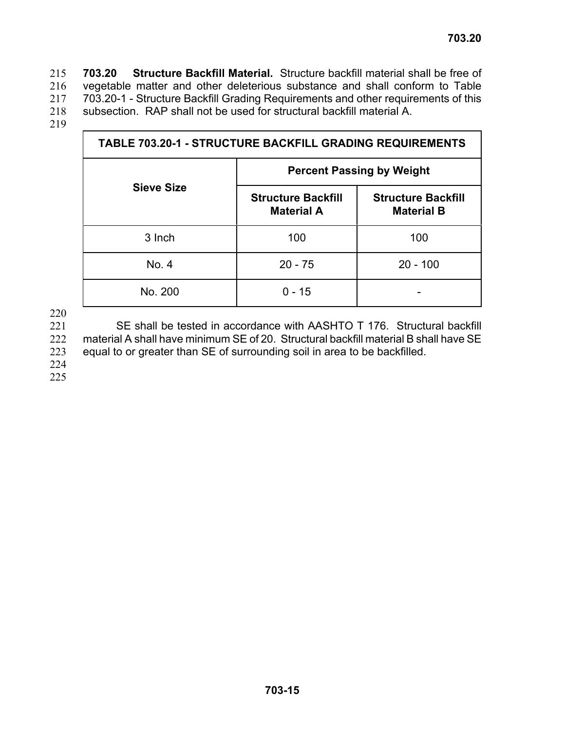**703.20 Structure Backfill Material.** Structure backfill material shall be free of vegetable matter and other deleterious substance and shall conform to Table 703.20-1 - Structure Backfill Grading Requirements and other requirements of this subsection. RAP shall not be used for structural backfill material A. 215 216 217 218

219

| <b>TABLE 703.20-1 - STRUCTURE BACKFILL GRADING REQUIREMENTS</b> |                                                |                                                |  |
|-----------------------------------------------------------------|------------------------------------------------|------------------------------------------------|--|
|                                                                 | <b>Percent Passing by Weight</b>               |                                                |  |
| <b>Sieve Size</b>                                               | <b>Structure Backfill</b><br><b>Material A</b> | <b>Structure Backfill</b><br><b>Material B</b> |  |
| 3 Inch                                                          | 100                                            | 100                                            |  |
| No. 4                                                           | $20 - 75$                                      | $20 - 100$                                     |  |
| No. 200                                                         | 0 - 15                                         |                                                |  |

220

221 222 223 224 SE shall be tested in accordance with AASHTO T 176. Structural backfill material A shall have minimum SE of 20. Structural backfill material B shall have SE equal to or greater than SE of surrounding soil in area to be backfilled.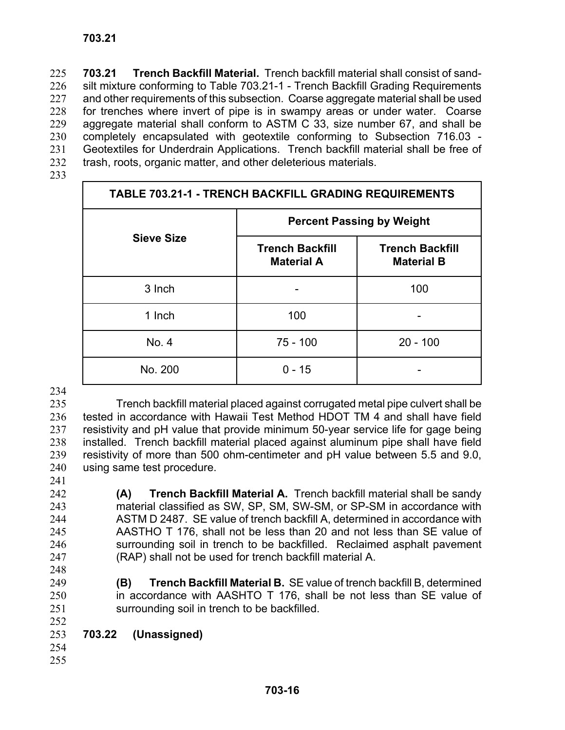**703.21 Trench Backfill Material.** Trench backfill material shall consist of sandsilt mixture conforming to Table 703.21-1 - Trench Backfill Grading Requirements and other requirements of this subsection. Coarse aggregate material shall be used for trenches where invert of pipe is in swampy areas or under water. Coarse aggregate material shall conform to ASTM C 33, size number 67, and shall be completely encapsulated with geotextile conforming to Subsection 716.03 - Geotextiles for Underdrain Applications. Trench backfill material shall be free of trash, roots, organic matter, and other deleterious materials. 225 226 227 228 229 230 231 232

233

| <b>TABLE 703.21-1 - TRENCH BACKFILL GRADING REQUIREMENTS</b> |                                             |                                             |  |
|--------------------------------------------------------------|---------------------------------------------|---------------------------------------------|--|
|                                                              | <b>Percent Passing by Weight</b>            |                                             |  |
| <b>Sieve Size</b>                                            | <b>Trench Backfill</b><br><b>Material A</b> | <b>Trench Backfill</b><br><b>Material B</b> |  |
| 3 Inch                                                       |                                             | 100                                         |  |
| 1 Inch                                                       | 100                                         |                                             |  |
| No. 4                                                        | $75 - 100$                                  | $20 - 100$                                  |  |
| No. 200                                                      | $0 - 15$                                    |                                             |  |

234

235 236 237 238 239 240 Trench backfill material placed against corrugated metal pipe culvert shall be tested in accordance with Hawaii Test Method HDOT TM 4 and shall have field resistivity and pH value that provide minimum 50-year service life for gage being installed. Trench backfill material placed against aluminum pipe shall have field resistivity of more than 500 ohm-centimeter and pH value between 5.5 and 9.0, using same test procedure.

(RAP) shall not be used for trench backfill material A.

241 242

243 244 245

**(A) Trench Backfill Material A.** Trench backfill material shall be sandy material classified as SW, SP, SM, SW-SM, or SP-SM in accordance with ASTM D 2487. SE value of trench backfill A, determined in accordance with AASTHO T 176, shall not be less than 20 and not less than SE value of surrounding soil in trench to be backfilled. Reclaimed asphalt pavement

- 246 247
- 248 249

250 251

**(B) Trench Backfill Material B.** SE value of trench backfill B, determined in accordance with AASHTO T 176, shall be not less than SE value of surrounding soil in trench to be backfilled.

- 252 253 **703.22 (Unassigned)**
- 254 255